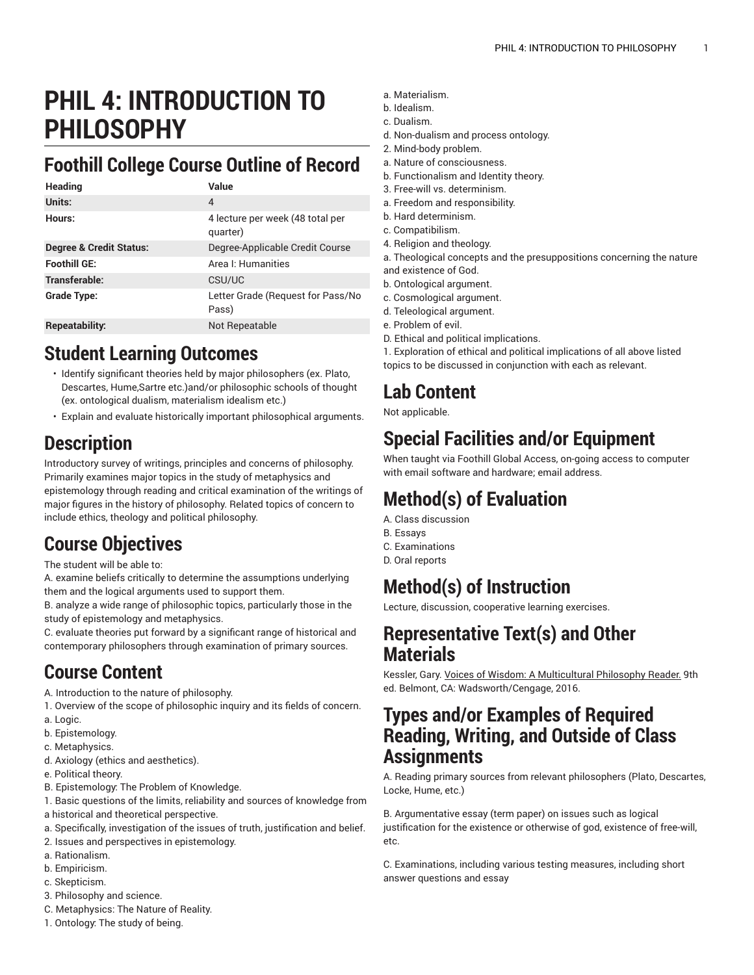# **PHIL 4: INTRODUCTION TO PHILOSOPHY**

### **Foothill College Course Outline of Record**

| <b>Heading</b>                     | Value                                        |
|------------------------------------|----------------------------------------------|
| Units:                             | 4                                            |
| Hours:                             | 4 lecture per week (48 total per<br>quarter) |
| <b>Degree &amp; Credit Status:</b> | Degree-Applicable Credit Course              |
| <b>Foothill GE:</b>                | Area I: Humanities                           |
| Transferable:                      | CSU/UC                                       |
| Grade Type:                        | Letter Grade (Request for Pass/No<br>Pass)   |
| Repeatability:                     | Not Repeatable                               |

### **Student Learning Outcomes**

- Identify significant theories held by major philosophers (ex. Plato, Descartes, Hume,Sartre etc.)and/or philosophic schools of thought (ex. ontological dualism, materialism idealism etc.)
- Explain and evaluate historically important philosophical arguments.

### **Description**

Introductory survey of writings, principles and concerns of philosophy. Primarily examines major topics in the study of metaphysics and epistemology through reading and critical examination of the writings of major figures in the history of philosophy. Related topics of concern to include ethics, theology and political philosophy.

#### **Course Objectives**

The student will be able to:

A. examine beliefs critically to determine the assumptions underlying them and the logical arguments used to support them.

B. analyze a wide range of philosophic topics, particularly those in the study of epistemology and metaphysics.

C. evaluate theories put forward by a significant range of historical and contemporary philosophers through examination of primary sources.

#### **Course Content**

A. Introduction to the nature of philosophy.

- 1. Overview of the scope of philosophic inquiry and its fields of concern.
- a. Logic.
- b. Epistemology.
- c. Metaphysics.
- d. Axiology (ethics and aesthetics).
- e. Political theory.
- B. Epistemology: The Problem of Knowledge.
- 1. Basic questions of the limits, reliability and sources of knowledge from a historical and theoretical perspective.
- a. Specifically, investigation of the issues of truth, justification and belief.
- 2. Issues and perspectives in epistemology.
- a. Rationalism.
- b. Empiricism.
- c. Skepticism.
- 3. Philosophy and science.
- C. Metaphysics: The Nature of Reality.
- 1. Ontology: The study of being.
- a. Materialism.
- b. Idealism.
- c. Dualism.
- d. Non-dualism and process ontology.
- 2. Mind-body problem.
- a. Nature of consciousness.
- b. Functionalism and Identity theory.
- 3. Free-will vs. determinism.
- a. Freedom and responsibility.
- b. Hard determinism.
- c. Compatibilism.
- 4. Religion and theology.
- a. Theological concepts and the presuppositions concerning the nature and existence of God.
- b. Ontological argument.
- c. Cosmological argument.
- d. Teleological argument.
- e. Problem of evil.
- D. Ethical and political implications.

1. Exploration of ethical and political implications of all above listed topics to be discussed in conjunction with each as relevant.

# **Lab Content**

Not applicable.

### **Special Facilities and/or Equipment**

When taught via Foothill Global Access, on-going access to computer with email software and hardware; email address.

# **Method(s) of Evaluation**

A. Class discussion

- B. Essays
- C. Examinations
- D. Oral reports

#### **Method(s) of Instruction**

Lecture, discussion, cooperative learning exercises.

#### **Representative Text(s) and Other Materials**

Kessler, Gary. Voices of Wisdom: A Multicultural Philosophy Reader. 9th ed. Belmont, CA: Wadsworth/Cengage, 2016.

#### **Types and/or Examples of Required Reading, Writing, and Outside of Class Assignments**

A. Reading primary sources from relevant philosophers (Plato, Descartes, Locke, Hume, etc.)

B. Argumentative essay (term paper) on issues such as logical justification for the existence or otherwise of god, existence of free-will, etc.

C. Examinations, including various testing measures, including short answer questions and essay